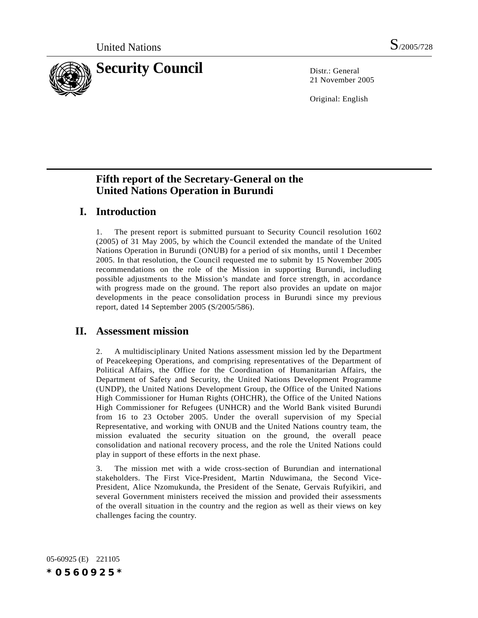

21 November 2005

Original: English

# **Fifth report of the Secretary-General on the United Nations Operation in Burundi**

# **I. Introduction**

1. The present report is submitted pursuant to Security Council resolution 1602 (2005) of 31 May 2005, by which the Council extended the mandate of the United Nations Operation in Burundi (ONUB) for a period of six months, until 1 December 2005. In that resolution, the Council requested me to submit by 15 November 2005 recommendations on the role of the Mission in supporting Burundi, including possible adjustments to the Mission's mandate and force strength, in accordance with progress made on the ground. The report also provides an update on major developments in the peace consolidation process in Burundi since my previous report, dated 14 September 2005 (S/2005/586).

# **II. Assessment mission**

2. A multidisciplinary United Nations assessment mission led by the Department of Peacekeeping Operations, and comprising representatives of the Department of Political Affairs, the Office for the Coordination of Humanitarian Affairs, the Department of Safety and Security, the United Nations Development Programme (UNDP), the United Nations Development Group, the Office of the United Nations High Commissioner for Human Rights (OHCHR), the Office of the United Nations High Commissioner for Refugees (UNHCR) and the World Bank visited Burundi from 16 to 23 October 2005. Under the overall supervision of my Special Representative, and working with ONUB and the United Nations country team, the mission evaluated the security situation on the ground, the overall peace consolidation and national recovery process, and the role the United Nations could play in support of these efforts in the next phase.

3. The mission met with a wide cross-section of Burundian and international stakeholders. The First Vice-President, Martin Nduwimana, the Second Vice-President, Alice Nzomukunda, the President of the Senate, Gervais Rufyikiri, and several Government ministers received the mission and provided their assessments of the overall situation in the country and the region as well as their views on key challenges facing the country.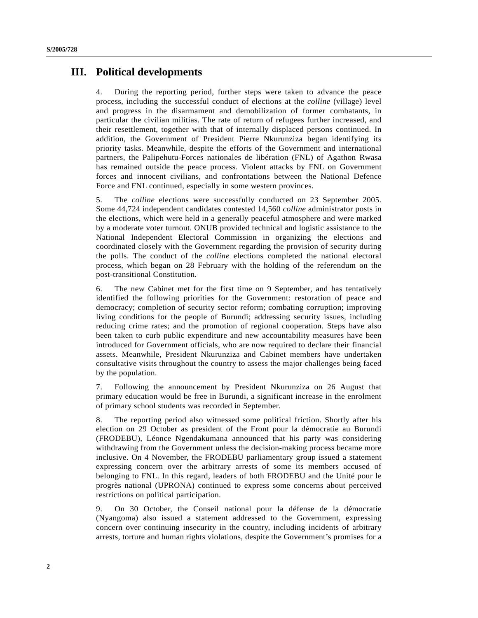# **III. Political developments**

4. During the reporting period, further steps were taken to advance the peace process, including the successful conduct of elections at the *colline* (village) level and progress in the disarmament and demobilization of former combatants, in particular the civilian militias. The rate of return of refugees further increased, and their resettlement, together with that of internally displaced persons continued. In addition, the Government of President Pierre Nkurunziza began identifying its priority tasks. Meanwhile, despite the efforts of the Government and international partners, the Palipehutu-Forces nationales de libération (FNL) of Agathon Rwasa has remained outside the peace process. Violent attacks by FNL on Government forces and innocent civilians, and confrontations between the National Defence Force and FNL continued, especially in some western provinces.

5. The *colline* elections were successfully conducted on 23 September 2005. Some 44,724 independent candidates contested 14,560 *colline* administrator posts in the elections, which were held in a generally peaceful atmosphere and were marked by a moderate voter turnout. ONUB provided technical and logistic assistance to the National Independent Electoral Commission in organizing the elections and coordinated closely with the Government regarding the provision of security during the polls. The conduct of the *colline* elections completed the national electoral process, which began on 28 February with the holding of the referendum on the post-transitional Constitution.

6. The new Cabinet met for the first time on 9 September, and has tentatively identified the following priorities for the Government: restoration of peace and democracy; completion of security sector reform; combating corruption; improving living conditions for the people of Burundi; addressing security issues, including reducing crime rates; and the promotion of regional cooperation. Steps have also been taken to curb public expenditure and new accountability measures have been introduced for Government officials, who are now required to declare their financial assets. Meanwhile, President Nkurunziza and Cabinet members have undertaken consultative visits throughout the country to assess the major challenges being faced by the population.

7. Following the announcement by President Nkurunziza on 26 August that primary education would be free in Burundi, a significant increase in the enrolment of primary school students was recorded in September.

8. The reporting period also witnessed some political friction. Shortly after his election on 29 October as president of the Front pour la démocratie au Burundi (FRODEBU), Léonce Ngendakumana announced that his party was considering withdrawing from the Government unless the decision-making process became more inclusive. On 4 November, the FRODEBU parliamentary group issued a statement expressing concern over the arbitrary arrests of some its members accused of belonging to FNL. In this regard, leaders of both FRODEBU and the Unité pour le progrès national (UPRONA) continued to express some concerns about perceived restrictions on political participation.

9. On 30 October, the Conseil national pour la défense de la démocratie (Nyangoma) also issued a statement addressed to the Government, expressing concern over continuing insecurity in the country, including incidents of arbitrary arrests, torture and human rights violations, despite the Government's promises for a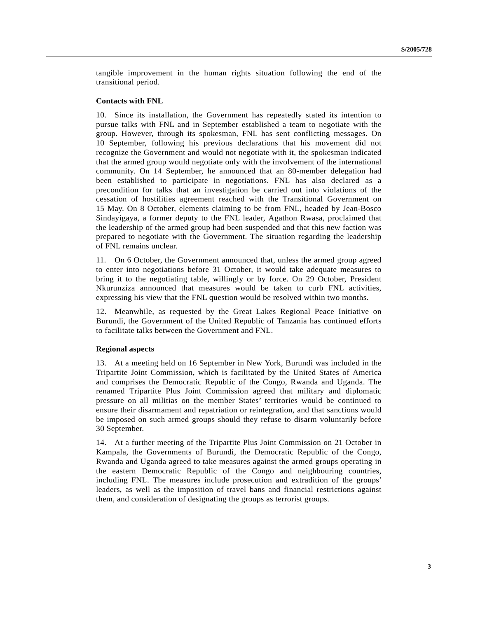tangible improvement in the human rights situation following the end of the transitional period.

### **Contacts with FNL**

10. Since its installation, the Government has repeatedly stated its intention to pursue talks with FNL and in September established a team to negotiate with the group. However, through its spokesman, FNL has sent conflicting messages. On 10 September, following his previous declarations that his movement did not recognize the Government and would not negotiate with it, the spokesman indicated that the armed group would negotiate only with the involvement of the international community. On 14 September, he announced that an 80-member delegation had been established to participate in negotiations. FNL has also declared as a precondition for talks that an investigation be carried out into violations of the cessation of hostilities agreement reached with the Transitional Government on 15 May. On 8 October, elements claiming to be from FNL, headed by Jean-Bosco Sindayigaya, a former deputy to the FNL leader, Agathon Rwasa, proclaimed that the leadership of the armed group had been suspended and that this new faction was prepared to negotiate with the Government. The situation regarding the leadership of FNL remains unclear.

11. On 6 October, the Government announced that, unless the armed group agreed to enter into negotiations before 31 October, it would take adequate measures to bring it to the negotiating table, willingly or by force. On 29 October, President Nkurunziza announced that measures would be taken to curb FNL activities, expressing his view that the FNL question would be resolved within two months.

12. Meanwhile, as requested by the Great Lakes Regional Peace Initiative on Burundi, the Government of the United Republic of Tanzania has continued efforts to facilitate talks between the Government and FNL.

### **Regional aspects**

13. At a meeting held on 16 September in New York, Burundi was included in the Tripartite Joint Commission, which is facilitated by the United States of America and comprises the Democratic Republic of the Congo, Rwanda and Uganda. The renamed Tripartite Plus Joint Commission agreed that military and diplomatic pressure on all militias on the member States' territories would be continued to ensure their disarmament and repatriation or reintegration, and that sanctions would be imposed on such armed groups should they refuse to disarm voluntarily before 30 September.

14. At a further meeting of the Tripartite Plus Joint Commission on 21 October in Kampala, the Governments of Burundi, the Democratic Republic of the Congo, Rwanda and Uganda agreed to take measures against the armed groups operating in the eastern Democratic Republic of the Congo and neighbouring countries, including FNL. The measures include prosecution and extradition of the groups' leaders, as well as the imposition of travel bans and financial restrictions against them, and consideration of designating the groups as terrorist groups.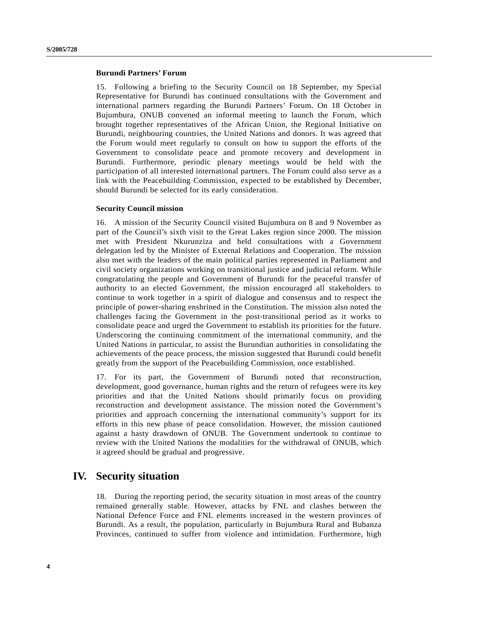## **Burundi Partners' Forum**

15. Following a briefing to the Security Council on 18 September, my Special Representative for Burundi has continued consultations with the Government and international partners regarding the Burundi Partners' Forum. On 18 October in Bujumbura, ONUB convened an informal meeting to launch the Forum, which brought together representatives of the African Union, the Regional Initiative on Burundi, neighbouring countries, the United Nations and donors. It was agreed that the Forum would meet regularly to consult on how to support the efforts of the Government to consolidate peace and promote recovery and development in Burundi. Furthermore, periodic plenary meetings would be held with the participation of all interested international partners. The Forum could also serve as a link with the Peacebuilding Commission, expected to be established by December, should Burundi be selected for its early consideration.

### **Security Council mission**

16. A mission of the Security Council visited Bujumbura on 8 and 9 November as part of the Council's sixth visit to the Great Lakes region since 2000. The mission met with President Nkurunziza and held consultations with a Government delegation led by the Minister of External Relations and Cooperation. The mission also met with the leaders of the main political parties represented in Parliament and civil society organizations working on transitional justice and judicial reform. While congratulating the people and Government of Burundi for the peaceful transfer of authority to an elected Government, the mission encouraged all stakeholders to continue to work together in a spirit of dialogue and consensus and to respect the principle of power-sharing enshrined in the Constitution. The mission also noted the challenges facing the Government in the post-transitional period as it works to consolidate peace and urged the Government to establish its priorities for the future. Underscoring the continuing commitment of the international community, and the United Nations in particular, to assist the Burundian authorities in consolidating the achievements of the peace process, the mission suggested that Burundi could benefit greatly from the support of the Peacebuilding Commission, once established.

17. For its part, the Government of Burundi noted that reconstruction, development, good governance, human rights and the return of refugees were its key priorities and that the United Nations should primarily focus on providing reconstruction and development assistance. The mission noted the Government's priorities and approach concerning the international community's support for its efforts in this new phase of peace consolidation. However, the mission cautioned against a hasty drawdown of ONUB. The Government undertook to continue to review with the United Nations the modalities for the withdrawal of ONUB, which it agreed should be gradual and progressive.

# **IV. Security situation**

18. During the reporting period, the security situation in most areas of the country remained generally stable. However, attacks by FNL and clashes between the National Defence Force and FNL elements increased in the western provinces of Burundi. As a result, the population, particularly in Bujumbura Rural and Bubanza Provinces, continued to suffer from violence and intimidation. Furthermore, high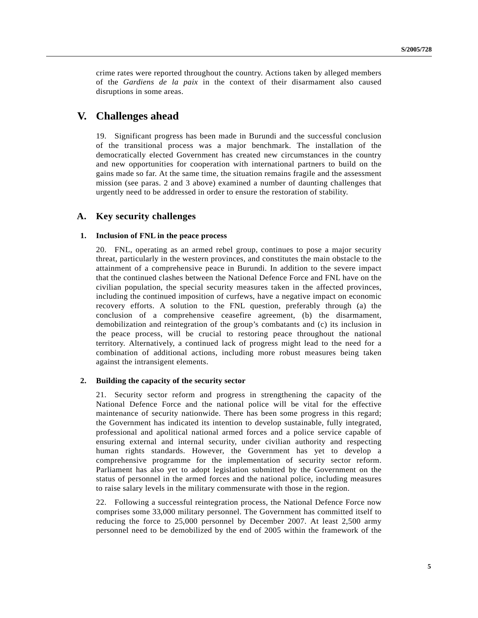crime rates were reported throughout the country. Actions taken by alleged members of the *Gardiens de la paix* in the context of their disarmament also caused disruptions in some areas.

# **V. Challenges ahead**

19. Significant progress has been made in Burundi and the successful conclusion of the transitional process was a major benchmark. The installation of the democratically elected Government has created new circumstances in the country and new opportunities for cooperation with international partners to build on the gains made so far. At the same time, the situation remains fragile and the assessment mission (see paras. 2 and 3 above) examined a number of daunting challenges that urgently need to be addressed in order to ensure the restoration of stability.

# **A. Key security challenges**

### **1. Inclusion of FNL in the peace process**

20. FNL, operating as an armed rebel group, continues to pose a major security threat, particularly in the western provinces, and constitutes the main obstacle to the attainment of a comprehensive peace in Burundi. In addition to the severe impact that the continued clashes between the National Defence Force and FNL have on the civilian population, the special security measures taken in the affected provinces, including the continued imposition of curfews, have a negative impact on economic recovery efforts. A solution to the FNL question, preferably through (a) the conclusion of a comprehensive ceasefire agreement, (b) the disarmament, demobilization and reintegration of the group's combatants and (c) its inclusion in the peace process, will be crucial to restoring peace throughout the national territory. Alternatively, a continued lack of progress might lead to the need for a combination of additional actions, including more robust measures being taken against the intransigent elements.

### **2. Building the capacity of the security sector**

21. Security sector reform and progress in strengthening the capacity of the National Defence Force and the national police will be vital for the effective maintenance of security nationwide. There has been some progress in this regard; the Government has indicated its intention to develop sustainable, fully integrated, professional and apolitical national armed forces and a police service capable of ensuring external and internal security, under civilian authority and respecting human rights standards. However, the Government has yet to develop a comprehensive programme for the implementation of security sector reform. Parliament has also yet to adopt legislation submitted by the Government on the status of personnel in the armed forces and the national police, including measures to raise salary levels in the military commensurate with those in the region.

22. Following a successful reintegration process, the National Defence Force now comprises some 33,000 military personnel. The Government has committed itself to reducing the force to 25,000 personnel by December 2007. At least 2,500 army personnel need to be demobilized by the end of 2005 within the framework of the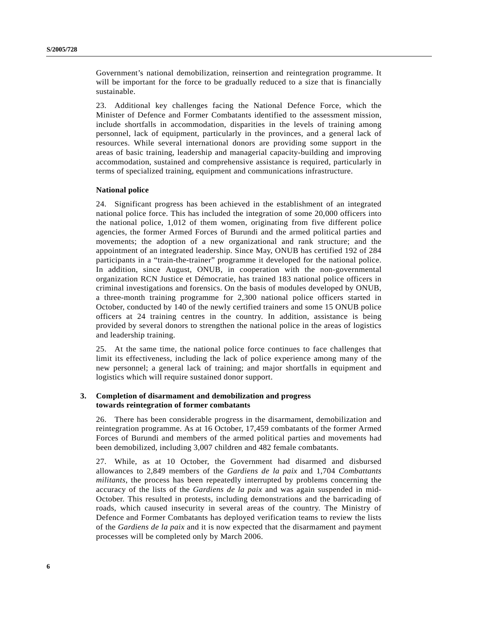Government's national demobilization, reinsertion and reintegration programme. It will be important for the force to be gradually reduced to a size that is financially sustainable.

23. Additional key challenges facing the National Defence Force, which the Minister of Defence and Former Combatants identified to the assessment mission, include shortfalls in accommodation, disparities in the levels of training among personnel, lack of equipment, particularly in the provinces, and a general lack of resources. While several international donors are providing some support in the areas of basic training, leadership and managerial capacity-building and improving accommodation, sustained and comprehensive assistance is required, particularly in terms of specialized training, equipment and communications infrastructure.

## **National police**

24. Significant progress has been achieved in the establishment of an integrated national police force. This has included the integration of some 20,000 officers into the national police, 1,012 of them women, originating from five different police agencies, the former Armed Forces of Burundi and the armed political parties and movements; the adoption of a new organizational and rank structure; and the appointment of an integrated leadership. Since May, ONUB has certified 192 of 284 participants in a "train-the-trainer" programme it developed for the national police. In addition, since August, ONUB, in cooperation with the non-governmental organization RCN Justice et Démocratie, has trained 183 national police officers in criminal investigations and forensics. On the basis of modules developed by ONUB, a three-month training programme for 2,300 national police officers started in October, conducted by 140 of the newly certified trainers and some 15 ONUB police officers at 24 training centres in the country. In addition, assistance is being provided by several donors to strengthen the national police in the areas of logistics and leadership training.

25. At the same time, the national police force continues to face challenges that limit its effectiveness, including the lack of police experience among many of the new personnel; a general lack of training; and major shortfalls in equipment and logistics which will require sustained donor support.

## **3. Completion of disarmament and demobilization and progress towards reintegration of former combatants**

26. There has been considerable progress in the disarmament, demobilization and reintegration programme. As at 16 October, 17,459 combatants of the former Armed Forces of Burundi and members of the armed political parties and movements had been demobilized, including 3,007 children and 482 female combatants.

27. While, as at 10 October, the Government had disarmed and disbursed allowances to 2,849 members of the *Gardiens de la paix* and 1,704 *Combattants militants*, the process has been repeatedly interrupted by problems concerning the accuracy of the lists of the *Gardiens de la paix* and was again suspended in mid-October. This resulted in protests, including demonstrations and the barricading of roads, which caused insecurity in several areas of the country. The Ministry of Defence and Former Combatants has deployed verification teams to review the lists of the *Gardiens de la paix* and it is now expected that the disarmament and payment processes will be completed only by March 2006.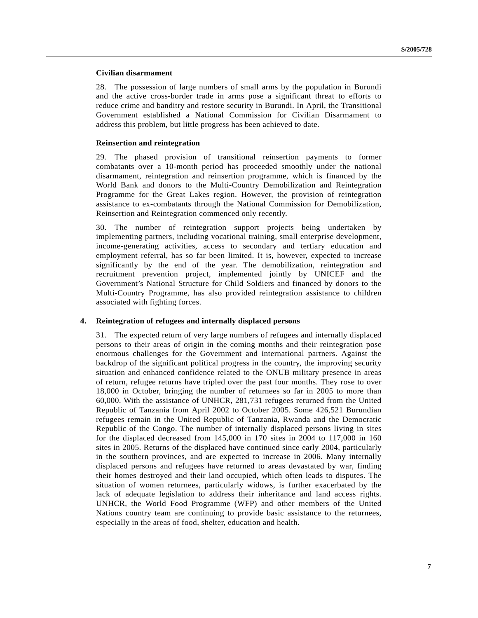### **Civilian disarmament**

28. The possession of large numbers of small arms by the population in Burundi and the active cross-border trade in arms pose a significant threat to efforts to reduce crime and banditry and restore security in Burundi. In April, the Transitional Government established a National Commission for Civilian Disarmament to address this problem, but little progress has been achieved to date.

### **Reinsertion and reintegration**

29. The phased provision of transitional reinsertion payments to former combatants over a 10-month period has proceeded smoothly under the national disarmament, reintegration and reinsertion programme, which is financed by the World Bank and donors to the Multi-Country Demobilization and Reintegration Programme for the Great Lakes region. However, the provision of reintegration assistance to ex-combatants through the National Commission for Demobilization, Reinsertion and Reintegration commenced only recently.

30. The number of reintegration support projects being undertaken by implementing partners, including vocational training, small enterprise development, income-generating activities, access to secondary and tertiary education and employment referral, has so far been limited. It is, however, expected to increase significantly by the end of the year. The demobilization, reintegration and recruitment prevention project, implemented jointly by UNICEF and the Government's National Structure for Child Soldiers and financed by donors to the Multi-Country Programme, has also provided reintegration assistance to children associated with fighting forces.

### **4. Reintegration of refugees and internally displaced persons**

31. The expected return of very large numbers of refugees and internally displaced persons to their areas of origin in the coming months and their reintegration pose enormous challenges for the Government and international partners. Against the backdrop of the significant political progress in the country, the improving security situation and enhanced confidence related to the ONUB military presence in areas of return, refugee returns have tripled over the past four months. They rose to over 18,000 in October, bringing the number of returnees so far in 2005 to more than 60,000. With the assistance of UNHCR, 281,731 refugees returned from the United Republic of Tanzania from April 2002 to October 2005. Some 426,521 Burundian refugees remain in the United Republic of Tanzania, Rwanda and the Democratic Republic of the Congo. The number of internally displaced persons living in sites for the displaced decreased from 145,000 in 170 sites in 2004 to 117,000 in 160 sites in 2005. Returns of the displaced have continued since early 2004, particularly in the southern provinces, and are expected to increase in 2006. Many internally displaced persons and refugees have returned to areas devastated by war, finding their homes destroyed and their land occupied, which often leads to disputes. The situation of women returnees, particularly widows, is further exacerbated by the lack of adequate legislation to address their inheritance and land access rights. UNHCR, the World Food Programme (WFP) and other members of the United Nations country team are continuing to provide basic assistance to the returnees, especially in the areas of food, shelter, education and health.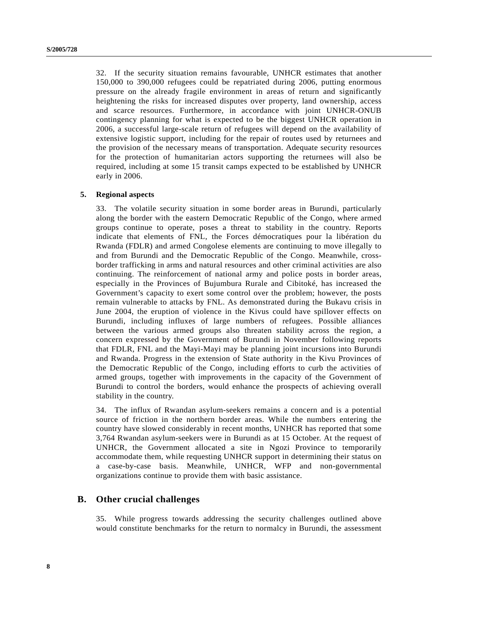32. If the security situation remains favourable, UNHCR estimates that another 150,000 to 390,000 refugees could be repatriated during 2006, putting enormous pressure on the already fragile environment in areas of return and significantly heightening the risks for increased disputes over property, land ownership, access and scarce resources. Furthermore, in accordance with joint UNHCR-ONUB contingency planning for what is expected to be the biggest UNHCR operation in 2006, a successful large-scale return of refugees will depend on the availability of extensive logistic support, including for the repair of routes used by returnees and the provision of the necessary means of transportation. Adequate security resources for the protection of humanitarian actors supporting the returnees will also be required, including at some 15 transit camps expected to be established by UNHCR early in 2006.

### **5. Regional aspects**

33. The volatile security situation in some border areas in Burundi, particularly along the border with the eastern Democratic Republic of the Congo, where armed groups continue to operate, poses a threat to stability in the country. Reports indicate that elements of FNL, the Forces démocratiques pour la libération du Rwanda (FDLR) and armed Congolese elements are continuing to move illegally to and from Burundi and the Democratic Republic of the Congo. Meanwhile, crossborder trafficking in arms and natural resources and other criminal activities are also continuing. The reinforcement of national army and police posts in border areas, especially in the Provinces of Bujumbura Rurale and Cibitoké, has increased the Government's capacity to exert some control over the problem; however, the posts remain vulnerable to attacks by FNL. As demonstrated during the Bukavu crisis in June 2004, the eruption of violence in the Kivus could have spillover effects on Burundi, including influxes of large numbers of refugees. Possible alliances between the various armed groups also threaten stability across the region, a concern expressed by the Government of Burundi in November following reports that FDLR, FNL and the Mayi-Mayi may be planning joint incursions into Burundi and Rwanda. Progress in the extension of State authority in the Kivu Provinces of the Democratic Republic of the Congo, including efforts to curb the activities of armed groups, together with improvements in the capacity of the Government of Burundi to control the borders, would enhance the prospects of achieving overall stability in the country.

34. The influx of Rwandan asylum-seekers remains a concern and is a potential source of friction in the northern border areas. While the numbers entering the country have slowed considerably in recent months, UNHCR has reported that some 3,764 Rwandan asylum-seekers were in Burundi as at 15 October. At the request of UNHCR, the Government allocated a site in Ngozi Province to temporarily accommodate them, while requesting UNHCR support in determining their status on a case-by-case basis. Meanwhile, UNHCR, WFP and non-governmental organizations continue to provide them with basic assistance.

## **B. Other crucial challenges**

35. While progress towards addressing the security challenges outlined above would constitute benchmarks for the return to normalcy in Burundi, the assessment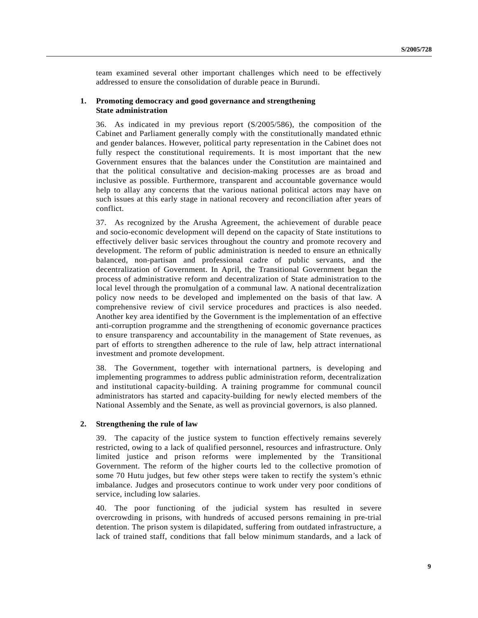team examined several other important challenges which need to be effectively addressed to ensure the consolidation of durable peace in Burundi.

## **1. Promoting democracy and good governance and strengthening State administration**

36. As indicated in my previous report (S/2005/586), the composition of the Cabinet and Parliament generally comply with the constitutionally mandated ethnic and gender balances. However, political party representation in the Cabinet does not fully respect the constitutional requirements. It is most important that the new Government ensures that the balances under the Constitution are maintained and that the political consultative and decision-making processes are as broad and inclusive as possible. Furthermore, transparent and accountable governance would help to allay any concerns that the various national political actors may have on such issues at this early stage in national recovery and reconciliation after years of conflict.

37. As recognized by the Arusha Agreement, the achievement of durable peace and socio-economic development will depend on the capacity of State institutions to effectively deliver basic services throughout the country and promote recovery and development. The reform of public administration is needed to ensure an ethnically balanced, non-partisan and professional cadre of public servants, and the decentralization of Government. In April, the Transitional Government began the process of administrative reform and decentralization of State administration to the local level through the promulgation of a communal law. A national decentralization policy now needs to be developed and implemented on the basis of that law. A comprehensive review of civil service procedures and practices is also needed. Another key area identified by the Government is the implementation of an effective anti-corruption programme and the strengthening of economic governance practices to ensure transparency and accountability in the management of State revenues, as part of efforts to strengthen adherence to the rule of law, help attract international investment and promote development.

38. The Government, together with international partners, is developing and implementing programmes to address public administration reform, decentralization and institutional capacity-building. A training programme for communal council administrators has started and capacity-building for newly elected members of the National Assembly and the Senate, as well as provincial governors, is also planned.

## **2. Strengthening the rule of law**

39. The capacity of the justice system to function effectively remains severely restricted, owing to a lack of qualified personnel, resources and infrastructure. Only limited justice and prison reforms were implemented by the Transitional Government. The reform of the higher courts led to the collective promotion of some 70 Hutu judges, but few other steps were taken to rectify the system's ethnic imbalance. Judges and prosecutors continue to work under very poor conditions of service, including low salaries.

40. The poor functioning of the judicial system has resulted in severe overcrowding in prisons, with hundreds of accused persons remaining in pre-trial detention. The prison system is dilapidated, suffering from outdated infrastructure, a lack of trained staff, conditions that fall below minimum standards, and a lack of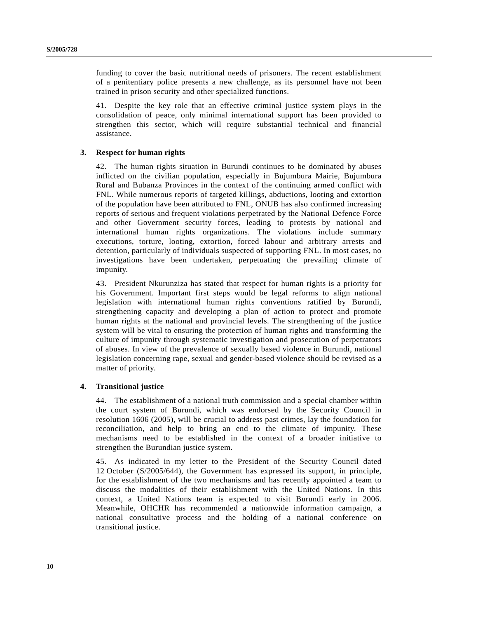funding to cover the basic nutritional needs of prisoners. The recent establishment of a penitentiary police presents a new challenge, as its personnel have not been trained in prison security and other specialized functions.

41. Despite the key role that an effective criminal justice system plays in the consolidation of peace, only minimal international support has been provided to strengthen this sector, which will require substantial technical and financial assistance.

## **3. Respect for human rights**

42. The human rights situation in Burundi continues to be dominated by abuses inflicted on the civilian population, especially in Bujumbura Mairie, Bujumbura Rural and Bubanza Provinces in the context of the continuing armed conflict with FNL. While numerous reports of targeted killings, abductions, looting and extortion of the population have been attributed to FNL, ONUB has also confirmed increasing reports of serious and frequent violations perpetrated by the National Defence Force and other Government security forces, leading to protests by national and international human rights organizations. The violations include summary executions, torture, looting, extortion, forced labour and arbitrary arrests and detention, particularly of individuals suspected of supporting FNL. In most cases, no investigations have been undertaken, perpetuating the prevailing climate of impunity.

43. President Nkurunziza has stated that respect for human rights is a priority for his Government. Important first steps would be legal reforms to align national legislation with international human rights conventions ratified by Burundi, strengthening capacity and developing a plan of action to protect and promote human rights at the national and provincial levels. The strengthening of the justice system will be vital to ensuring the protection of human rights and transforming the culture of impunity through systematic investigation and prosecution of perpetrators of abuses. In view of the prevalence of sexually based violence in Burundi, national legislation concerning rape, sexual and gender-based violence should be revised as a matter of priority.

## **4. Transitional justice**

44. The establishment of a national truth commission and a special chamber within the court system of Burundi, which was endorsed by the Security Council in resolution 1606 (2005), will be crucial to address past crimes, lay the foundation for reconciliation, and help to bring an end to the climate of impunity. These mechanisms need to be established in the context of a broader initiative to strengthen the Burundian justice system.

45. As indicated in my letter to the President of the Security Council dated 12 October (S/2005/644), the Government has expressed its support, in principle, for the establishment of the two mechanisms and has recently appointed a team to discuss the modalities of their establishment with the United Nations. In this context, a United Nations team is expected to visit Burundi early in 2006. Meanwhile, OHCHR has recommended a nationwide information campaign, a national consultative process and the holding of a national conference on transitional justice.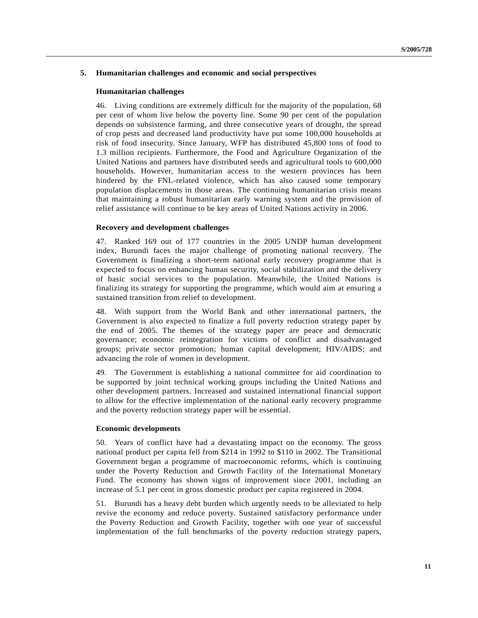## **5. Humanitarian challenges and economic and social perspectives**

### **Humanitarian challenges**

46. Living conditions are extremely difficult for the majority of the population, 68 per cent of whom live below the poverty line. Some 90 per cent of the population depends on subsistence farming, and three consecutive years of drought, the spread of crop pests and decreased land productivity have put some 100,000 households at risk of food insecurity. Since January, WFP has distributed 45,800 tons of food to 1.3 million recipients. Furthermore, the Food and Agriculture Organization of the United Nations and partners have distributed seeds and agricultural tools to 600,000 households. However, humanitarian access to the western provinces has been hindered by the FNL-related violence, which has also caused some temporary population displacements in those areas. The continuing humanitarian crisis means that maintaining a robust humanitarian early warning system and the provision of relief assistance will continue to be key areas of United Nations activity in 2006.

## **Recovery and development challenges**

47. Ranked 169 out of 177 countries in the 2005 UNDP human development index, Burundi faces the major challenge of promoting national recovery. The Government is finalizing a short-term national early recovery programme that is expected to focus on enhancing human security, social stabilization and the delivery of basic social services to the population. Meanwhile, the United Nations is finalizing its strategy for supporting the programme, which would aim at ensuring a sustained transition from relief to development.

48. With support from the World Bank and other international partners, the Government is also expected to finalize a full poverty reduction strategy paper by the end of 2005. The themes of the strategy paper are peace and democratic governance; economic reintegration for victims of conflict and disadvantaged groups; private sector promotion; human capital development; HIV/AIDS; and advancing the role of women in development.

49. The Government is establishing a national committee for aid coordination to be supported by joint technical working groups including the United Nations and other development partners. Increased and sustained international financial support to allow for the effective implementation of the national early recovery programme and the poverty reduction strategy paper will be essential.

### **Economic developments**

50. Years of conflict have had a devastating impact on the economy. The gross national product per capita fell from \$214 in 1992 to \$110 in 2002. The Transitional Government began a programme of macroeconomic reforms, which is continuing under the Poverty Reduction and Growth Facility of the International Monetary Fund. The economy has shown signs of improvement since 2001, including an increase of 5.1 per cent in gross domestic product per capita registered in 2004.

51. Burundi has a heavy debt burden which urgently needs to be alleviated to help revive the economy and reduce poverty. Sustained satisfactory performance under the Poverty Reduction and Growth Facility, together with one year of successful implementation of the full benchmarks of the poverty reduction strategy papers,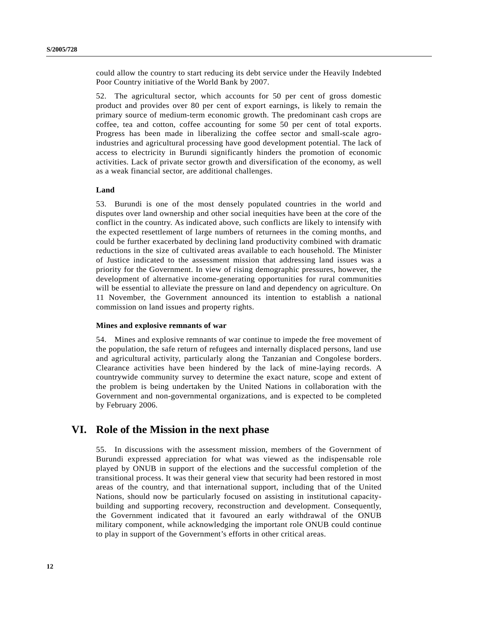could allow the country to start reducing its debt service under the Heavily Indebted Poor Country initiative of the World Bank by 2007.

52. The agricultural sector, which accounts for 50 per cent of gross domestic product and provides over 80 per cent of export earnings, is likely to remain the primary source of medium-term economic growth. The predominant cash crops are coffee, tea and cotton, coffee accounting for some 50 per cent of total exports. Progress has been made in liberalizing the coffee sector and small-scale agroindustries and agricultural processing have good development potential. The lack of access to electricity in Burundi significantly hinders the promotion of economic activities. Lack of private sector growth and diversification of the economy, as well as a weak financial sector, are additional challenges.

### **Land**

53. Burundi is one of the most densely populated countries in the world and disputes over land ownership and other social inequities have been at the core of the conflict in the country. As indicated above, such conflicts are likely to intensify with the expected resettlement of large numbers of returnees in the coming months, and could be further exacerbated by declining land productivity combined with dramatic reductions in the size of cultivated areas available to each household. The Minister of Justice indicated to the assessment mission that addressing land issues was a priority for the Government. In view of rising demographic pressures, however, the development of alternative income-generating opportunities for rural communities will be essential to alleviate the pressure on land and dependency on agriculture. On 11 November, the Government announced its intention to establish a national commission on land issues and property rights.

## **Mines and explosive remnants of war**

54. Mines and explosive remnants of war continue to impede the free movement of the population, the safe return of refugees and internally displaced persons, land use and agricultural activity, particularly along the Tanzanian and Congolese borders. Clearance activities have been hindered by the lack of mine-laying records. A countrywide community survey to determine the exact nature, scope and extent of the problem is being undertaken by the United Nations in collaboration with the Government and non-governmental organizations, and is expected to be completed by February 2006.

# **VI. Role of the Mission in the next phase**

55. In discussions with the assessment mission, members of the Government of Burundi expressed appreciation for what was viewed as the indispensable role played by ONUB in support of the elections and the successful completion of the transitional process. It was their general view that security had been restored in most areas of the country, and that international support, including that of the United Nations, should now be particularly focused on assisting in institutional capacitybuilding and supporting recovery, reconstruction and development. Consequently, the Government indicated that it favoured an early withdrawal of the ONUB military component, while acknowledging the important role ONUB could continue to play in support of the Government's efforts in other critical areas.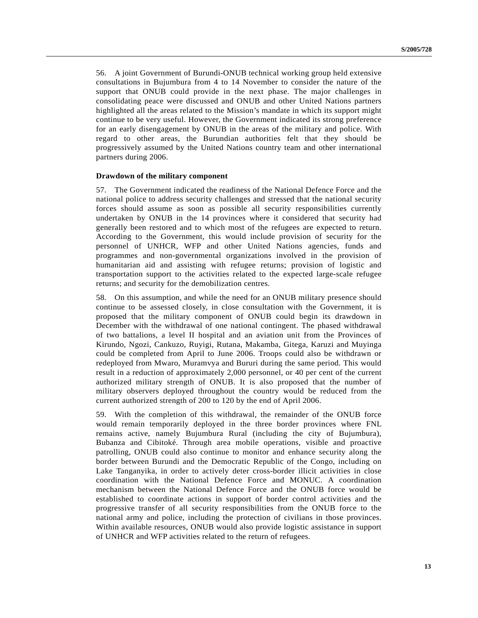56. A joint Government of Burundi-ONUB technical working group held extensive consultations in Bujumbura from 4 to 14 November to consider the nature of the support that ONUB could provide in the next phase. The major challenges in consolidating peace were discussed and ONUB and other United Nations partners highlighted all the areas related to the Mission's mandate in which its support might continue to be very useful. However, the Government indicated its strong preference for an early disengagement by ONUB in the areas of the military and police. With regard to other areas, the Burundian authorities felt that they should be progressively assumed by the United Nations country team and other international partners during 2006.

### **Drawdown of the military component**

57. The Government indicated the readiness of the National Defence Force and the national police to address security challenges and stressed that the national security forces should assume as soon as possible all security responsibilities currently undertaken by ONUB in the 14 provinces where it considered that security had generally been restored and to which most of the refugees are expected to return. According to the Government, this would include provision of security for the personnel of UNHCR, WFP and other United Nations agencies, funds and programmes and non-governmental organizations involved in the provision of humanitarian aid and assisting with refugee returns; provision of logistic and transportation support to the activities related to the expected large-scale refugee returns; and security for the demobilization centres.

58. On this assumption, and while the need for an ONUB military presence should continue to be assessed closely, in close consultation with the Government, it is proposed that the military component of ONUB could begin its drawdown in December with the withdrawal of one national contingent. The phased withdrawal of two battalions, a level II hospital and an aviation unit from the Provinces of Kirundo, Ngozi, Cankuzo, Ruyigi, Rutana, Makamba, Gitega, Karuzi and Muyinga could be completed from April to June 2006. Troops could also be withdrawn or redeployed from Mwaro, Muramvya and Bururi during the same period. This would result in a reduction of approximately 2,000 personnel, or 40 per cent of the current authorized military strength of ONUB. It is also proposed that the number of military observers deployed throughout the country would be reduced from the current authorized strength of 200 to 120 by the end of April 2006.

59. With the completion of this withdrawal, the remainder of the ONUB force would remain temporarily deployed in the three border provinces where FNL remains active, namely Bujumbura Rural (including the city of Bujumbura), Bubanza and Cibitoké. Through area mobile operations, visible and proactive patrolling, ONUB could also continue to monitor and enhance security along the border between Burundi and the Democratic Republic of the Congo, including on Lake Tanganyika, in order to actively deter cross-border illicit activities in close coordination with the National Defence Force and MONUC. A coordination mechanism between the National Defence Force and the ONUB force would be established to coordinate actions in support of border control activities and the progressive transfer of all security responsibilities from the ONUB force to the national army and police, including the protection of civilians in those provinces. Within available resources, ONUB would also provide logistic assistance in support of UNHCR and WFP activities related to the return of refugees.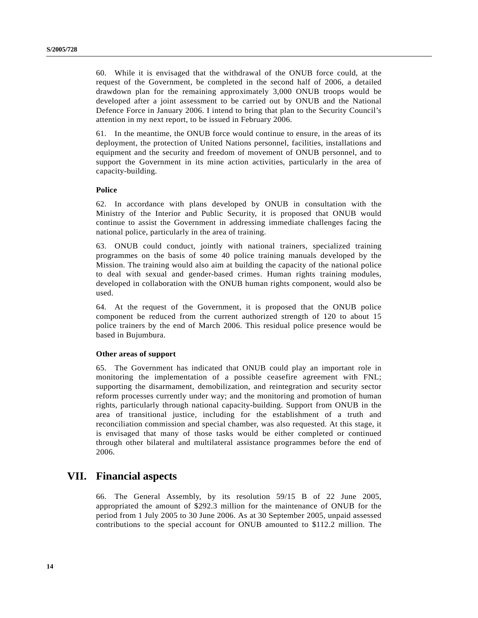60. While it is envisaged that the withdrawal of the ONUB force could, at the request of the Government, be completed in the second half of 2006, a detailed drawdown plan for the remaining approximately 3,000 ONUB troops would be developed after a joint assessment to be carried out by ONUB and the National Defence Force in January 2006. I intend to bring that plan to the Security Council's attention in my next report, to be issued in February 2006.

61. In the meantime, the ONUB force would continue to ensure, in the areas of its deployment, the protection of United Nations personnel, facilities, installations and equipment and the security and freedom of movement of ONUB personnel, and to support the Government in its mine action activities, particularly in the area of capacity-building.

### **Police**

62. In accordance with plans developed by ONUB in consultation with the Ministry of the Interior and Public Security, it is proposed that ONUB would continue to assist the Government in addressing immediate challenges facing the national police, particularly in the area of training.

63. ONUB could conduct, jointly with national trainers, specialized training programmes on the basis of some 40 police training manuals developed by the Mission. The training would also aim at building the capacity of the national police to deal with sexual and gender-based crimes. Human rights training modules, developed in collaboration with the ONUB human rights component, would also be used.

64. At the request of the Government, it is proposed that the ONUB police component be reduced from the current authorized strength of 120 to about 15 police trainers by the end of March 2006. This residual police presence would be based in Bujumbura.

### **Other areas of support**

65. The Government has indicated that ONUB could play an important role in monitoring the implementation of a possible ceasefire agreement with FNL; supporting the disarmament, demobilization, and reintegration and security sector reform processes currently under way; and the monitoring and promotion of human rights, particularly through national capacity-building. Support from ONUB in the area of transitional justice, including for the establishment of a truth and reconciliation commission and special chamber, was also requested. At this stage, it is envisaged that many of those tasks would be either completed or continued through other bilateral and multilateral assistance programmes before the end of 2006.

# **VII. Financial aspects**

66. The General Assembly, by its resolution 59/15 B of 22 June 2005, appropriated the amount of \$292.3 million for the maintenance of ONUB for the period from 1 July 2005 to 30 June 2006. As at 30 September 2005, unpaid assessed contributions to the special account for ONUB amounted to \$112.2 million. The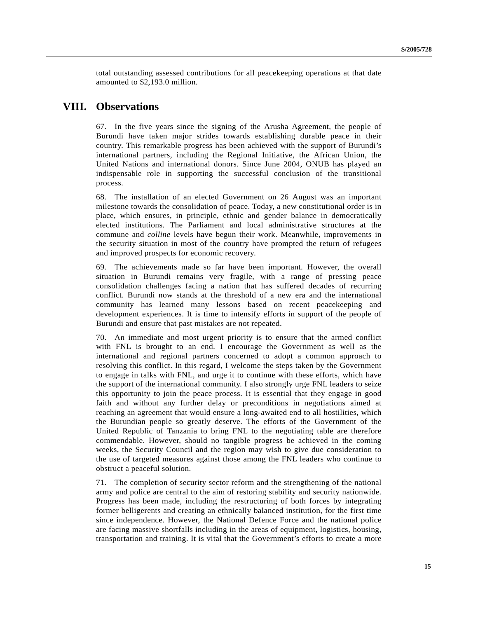total outstanding assessed contributions for all peacekeeping operations at that date amounted to \$2,193.0 million.

# **VIII. Observations**

67. In the five years since the signing of the Arusha Agreement, the people of Burundi have taken major strides towards establishing durable peace in their country. This remarkable progress has been achieved with the support of Burundi's international partners, including the Regional Initiative, the African Union, the United Nations and international donors. Since June 2004, ONUB has played an indispensable role in supporting the successful conclusion of the transitional process.

68. The installation of an elected Government on 26 August was an important milestone towards the consolidation of peace. Today, a new constitutional order is in place, which ensures, in principle, ethnic and gender balance in democratically elected institutions. The Parliament and local administrative structures at the commune and *colline* levels have begun their work. Meanwhile, improvements in the security situation in most of the country have prompted the return of refugees and improved prospects for economic recovery.

69. The achievements made so far have been important. However, the overall situation in Burundi remains very fragile, with a range of pressing peace consolidation challenges facing a nation that has suffered decades of recurring conflict. Burundi now stands at the threshold of a new era and the international community has learned many lessons based on recent peacekeeping and development experiences. It is time to intensify efforts in support of the people of Burundi and ensure that past mistakes are not repeated.

70. An immediate and most urgent priority is to ensure that the armed conflict with FNL is brought to an end. I encourage the Government as well as the international and regional partners concerned to adopt a common approach to resolving this conflict. In this regard, I welcome the steps taken by the Government to engage in talks with FNL, and urge it to continue with these efforts, which have the support of the international community. I also strongly urge FNL leaders to seize this opportunity to join the peace process. It is essential that they engage in good faith and without any further delay or preconditions in negotiations aimed at reaching an agreement that would ensure a long-awaited end to all hostilities, which the Burundian people so greatly deserve. The efforts of the Government of the United Republic of Tanzania to bring FNL to the negotiating table are therefore commendable. However, should no tangible progress be achieved in the coming weeks, the Security Council and the region may wish to give due consideration to the use of targeted measures against those among the FNL leaders who continue to obstruct a peaceful solution.

71. The completion of security sector reform and the strengthening of the national army and police are central to the aim of restoring stability and security nationwide. Progress has been made, including the restructuring of both forces by integrating former belligerents and creating an ethnically balanced institution, for the first time since independence. However, the National Defence Force and the national police are facing massive shortfalls including in the areas of equipment, logistics, housing, transportation and training. It is vital that the Government's efforts to create a more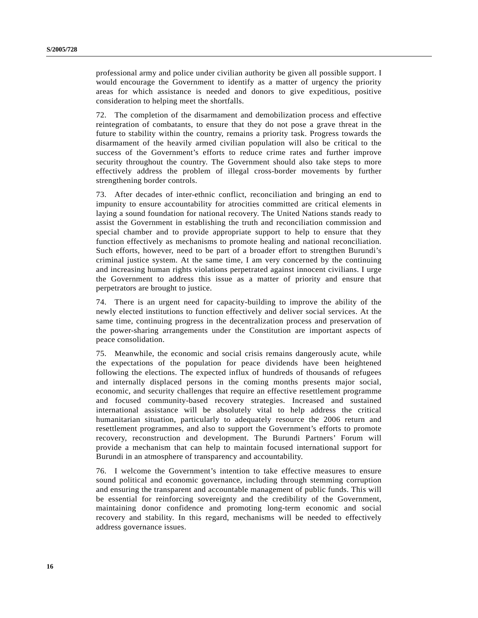professional army and police under civilian authority be given all possible support. I would encourage the Government to identify as a matter of urgency the priority areas for which assistance is needed and donors to give expeditious, positive consideration to helping meet the shortfalls.

72. The completion of the disarmament and demobilization process and effective reintegration of combatants, to ensure that they do not pose a grave threat in the future to stability within the country, remains a priority task. Progress towards the disarmament of the heavily armed civilian population will also be critical to the success of the Government's efforts to reduce crime rates and further improve security throughout the country. The Government should also take steps to more effectively address the problem of illegal cross-border movements by further strengthening border controls.

73. After decades of inter-ethnic conflict, reconciliation and bringing an end to impunity to ensure accountability for atrocities committed are critical elements in laying a sound foundation for national recovery. The United Nations stands ready to assist the Government in establishing the truth and reconciliation commission and special chamber and to provide appropriate support to help to ensure that they function effectively as mechanisms to promote healing and national reconciliation. Such efforts, however, need to be part of a broader effort to strengthen Burundi's criminal justice system. At the same time, I am very concerned by the continuing and increasing human rights violations perpetrated against innocent civilians. I urge the Government to address this issue as a matter of priority and ensure that perpetrators are brought to justice.

74. There is an urgent need for capacity-building to improve the ability of the newly elected institutions to function effectively and deliver social services. At the same time, continuing progress in the decentralization process and preservation of the power-sharing arrangements under the Constitution are important aspects of peace consolidation.

75. Meanwhile, the economic and social crisis remains dangerously acute, while the expectations of the population for peace dividends have been heightened following the elections. The expected influx of hundreds of thousands of refugees and internally displaced persons in the coming months presents major social, economic, and security challenges that require an effective resettlement programme and focused community-based recovery strategies. Increased and sustained international assistance will be absolutely vital to help address the critical humanitarian situation, particularly to adequately resource the 2006 return and resettlement programmes, and also to support the Government's efforts to promote recovery, reconstruction and development. The Burundi Partners' Forum will provide a mechanism that can help to maintain focused international support for Burundi in an atmosphere of transparency and accountability.

76. I welcome the Government's intention to take effective measures to ensure sound political and economic governance, including through stemming corruption and ensuring the transparent and accountable management of public funds. This will be essential for reinforcing sovereignty and the credibility of the Government, maintaining donor confidence and promoting long-term economic and social recovery and stability. In this regard, mechanisms will be needed to effectively address governance issues.